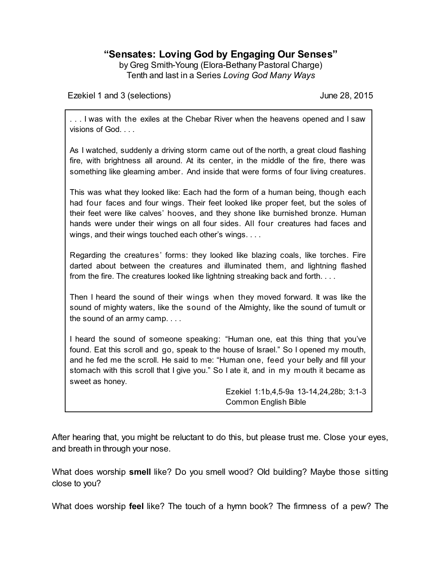# **"Sensates: Loving God by Engaging Our Senses"**

by Greg Smith-Young (Elora-Bethany Pastoral Charge) Tenth and last in a Series *Loving God Many Ways*

Ezekiel 1 and 3 (selections) June 28, 2015

. . . I was with the exiles at the Chebar River when the heavens opened and I saw visions of God. . . .

As I watched, suddenly a driving storm came out of the north, a great cloud flashing fire, with brightness all around. At its center, in the middle of the fire, there was something like gleaming amber. And inside that were forms of four living creatures.

This was what they looked like: Each had the form of a human being, though each had four faces and four wings. Their feet looked like proper feet, but the soles of their feet were like calves' hooves, and they shone like burnished bronze. Human hands were under their wings on all four sides. All four creatures had faces and wings, and their wings touched each other's wings. . . .

Regarding the creatures' forms: they looked like blazing coals, like torches. Fire darted about between the creatures and illuminated them, and lightning flashed from the fire. The creatures looked like lightning streaking back and forth. . . .

Then I heard the sound of their wings when they moved forward. It was like the sound of mighty waters, like the sound of the Almighty, like the sound of tumult or the sound of an army camp. . . .

I heard the sound of someone speaking: "Human one, eat this thing that you've found. Eat this scroll and go, speak to the house of Israel." So I opened my mouth, and he fed me the scroll. He said to me: "Human one, feed your belly and fill your stomach with this scroll that I give you." So I ate it, and in my mouth it became as sweet as honey.

> Ezekiel 1:1b,4,5-9a 13-14,24,28b; 3:1-3 Common English Bible

After hearing that, you might be reluctant to do this, but please trust me. Close your eyes, and breath in through your nose.

What does worship **smell** like? Do you smell wood? Old building? Maybe those sitting close to you?

What does worship **feel** like? The touch of a hymn book? The firmness of a pew? The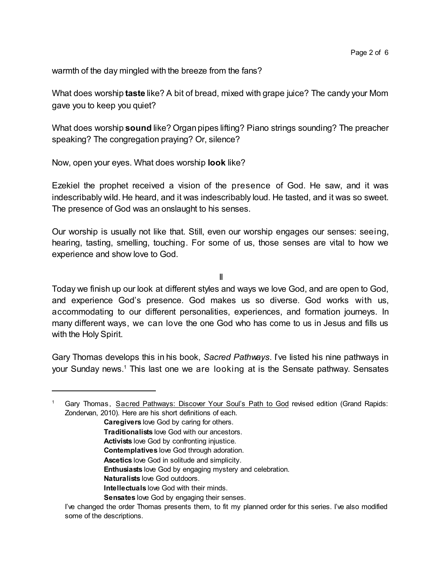warmth of the day mingled with the breeze from the fans?

What does worship **taste** like? A bit of bread, mixed with grape juice? The candy your Mom gave you to keep you quiet?

What does worship **sound** like? Organ pipes lifting? Piano strings sounding? The preacher speaking? The congregation praying? Or, silence?

Now, open your eyes. What does worship **look** like?

Ezekiel the prophet received a vision of the presence of God. He saw, and it was indescribably wild. He heard, and it was indescribably loud. He tasted, and it was so sweet. The presence of God was an onslaught to his senses.

Our worship is usually not like that. Still, even our worship engages our senses: seeing, hearing, tasting, smelling, touching. For some of us, those senses are vital to how we experience and show love to God.

II

Today we finish up our look at different styles and ways we love God, and are open to God, and experience God's presence. God makes us so diverse. God works with us, accommodating to our different personalities, experiences, and formation journeys. In many different ways, we can love the one God who has come to us in Jesus and fills us with the Holy Spirit.

Gary Thomas develops this in his book, *Sacred Pathways*. I've listed his nine pathways in your Sunday news.<sup>1</sup> This last one we are looking at is the Sensate pathway. Sensates

**Caregivers** love God by caring for others.

- **Traditionalists** love God with our ancestors.
- **Activists** love God by confronting injustice.
- **Contemplatives** love God through adoration.
- **Ascetics** love God in solitude and simplicity.
- **Enthusiasts** love God by engaging mystery and celebration.
- **Naturalists** love God outdoors.
- **Intellectuals** love God with their minds.
- **Sensates** love God by engaging their senses.

<sup>1</sup> Gary Thomas, Sacred Pathways: Discover Your Soul's Path to God revised edition (Grand Rapids: Zondervan, 2010). Here are his short definitions of each.

I've changed the order Thomas presents them, to fit my planned order for this series. I've also modified some of the descriptions.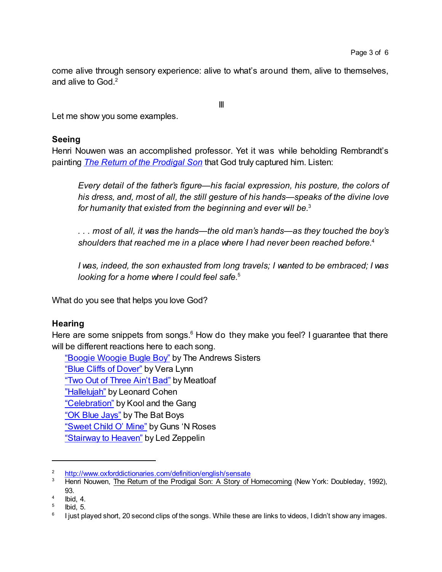come alive through sensory experience: alive to what's around them, alive to themselves, and alive to God.<sup>2</sup>

III

Let me show you some examples.

#### **Seeing**

Henri Nouwen was an accomplished professor. Yet it was while beholding Rembrandt's painting *[The Return of](https://upload.wikimedia.org/wikipedia/commons/thumb/9/93/Rembrandt_Harmensz_van_Rijn_-_Return_of_the_Prodigal_Son_-_Google_Art_Project.jpg/785px-Rembrandt_Harmensz_van_Rijn_-_Return_of_the_Prodigal_Son_-_Google_Art_Project.jpg) the Prodigal Son* that God truly captured him. Listen:

*Every detail of the father's figure—his facial expression, his posture, the colors of his dress, and, most of all, the still gesture of his hands—speaks of the divine love for humanity that existed from the beginning and ever will be.*<sup>3</sup>

*. . . most of all, it was the hands—the old man's hands—as they touched the boy's shoulders that reached me in a place where I had never been reached before.*<sup>4</sup>

*I was, indeed, the son exhausted from long travels; I wanted to be embraced; I was looking for a home where I could feel safe.*<sup>5</sup>

What do you see that helps you love God?

# **Hearing**

Here are some snippets from songs.<sup>6</sup> How do they make you feel? I guarantee that there will be different reactions here to each song.

["Boogie Woogie Bugle Boy"](https://www.youtube.com/watch?v=qafnJ6mRbgk) by The Andrews Sisters ["Blue Cliffs of](https://www.youtube.com/watch?v=WL0ca5zZ2Nc) Dover" by Vera Lynn "Two Out of [Three Ain't](https://www.youtube.com/watch?v=k5hWWe-ts2s) Bad" by Meatloaf ["Hallelujah"](https://www.youtube.com/watch?v=YrLk4vdY28Q) by Leonard Cohen ["Celebration"](https://www.youtube.com/watch?v=3GwjfUFyY6M) by Kool and the Gang "OK [Blue Jays"](https://www.youtube.com/watch?v=5AxweEGSEDQ) by The Bat Boys "Sweet [Child O'](https://www.youtube.com/watch?v=1w7OgIMMRc4) Mine" by Guns 'N Roses "Stairway [to Heaven"](https://www.youtube.com/watch?v=9Q7Vr3yQYWQ) by Led Zeppelin

<sup>&</sup>lt;sup>2</sup> <http://www.oxforddictionaries.com/definition/english/sensate><br><sup>3</sup> Henri Nouwen, The Return of the Prodical Son: A Story of

<sup>3</sup> Henri Nouwen, The Return of the Prodigal Son: A Story of Homecoming (New York: Doubleday, 1992), 93.

<sup>4</sup> Ibid, 4.

<sup>5</sup> Ibid, 5.

<sup>6</sup> I just played short, 20 second clips of the songs. While these are links to videos, I didn't show any images.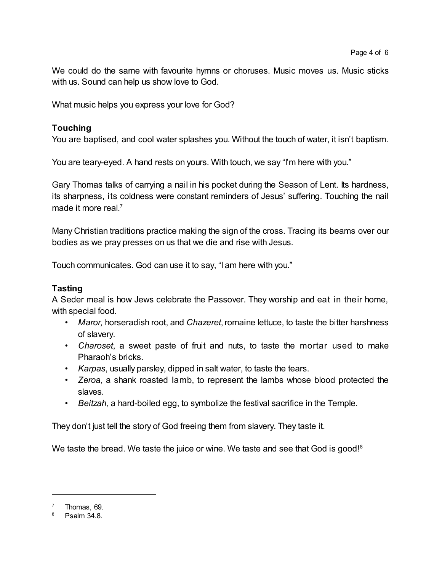We could do the same with favourite hymns or choruses. Music moves us. Music sticks with us. Sound can help us show love to God.

What music helps you express your love for God?

## **Touching**

You are baptised, and cool water splashes you. Without the touch of water, it isn't baptism.

You are teary-eyed. A hand rests on yours. With touch, we say "I'm here with you."

Gary Thomas talks of carrying a nail in his pocket during the Season of Lent. Its hardness, its sharpness, its coldness were constant reminders of Jesus' suffering. Touching the nail made it more real.<sup>7</sup>

Many Christian traditions practice making the sign of the cross. Tracing its beams over our bodies as we pray presses on us that we die and rise with Jesus.

Touch communicates. God can use it to say, "I am here with you."

## **Tasting**

A Seder meal is how Jews celebrate the Passover. They worship and eat in their home, with special food.

- Maror, horseradish root, and *Chazeret*, romaine lettuce, to taste the bitter harshness of slavery.
- *Charoset*, a sweet paste of fruit and nuts, to taste the mortar used to make Pharaoh's bricks.
- *Karpas*, usually parsley, dipped in salt water, to taste the tears.
- *Zeroa*, a shank roasted lamb, to represent the lambs whose blood protected the slaves.
- *Beitzah*, a hard-boiled egg, to symbolize the festival sacrifice in the Temple.

They don't just tell the story of God freeing them from slavery. They taste it.

We taste the bread. We taste the juice or wine. We taste and see that God is good!<sup>8</sup>

 $7$  Thomas, 69.

<sup>8</sup> Psalm 34.8.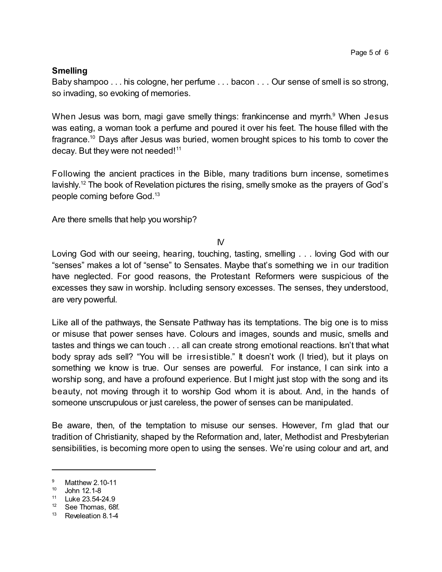# **Smelling**

Baby shampoo . . . his cologne, her perfume . . . bacon . . . Our sense of smell is so strong, so invading, so evoking of memories.

When Jesus was born, magi gave smelly things: frankincense and myrrh.<sup>9</sup> When Jesus was eating, a woman took a perfume and poured it over his feet. The house filled with the fragrance.<sup>10</sup> Days after Jesus was buried, women brought spices to his tomb to cover the decay. But they were not needed!<sup>11</sup>

Following the ancient practices in the Bible, many traditions burn incense, sometimes lavishly.<sup>12</sup> The book of Revelation pictures the rising, smelly smoke as the prayers of God's people coming before God.<sup>13</sup>

Are there smells that help you worship?

 $\mathsf{N}$ 

Loving God with our seeing, hearing, touching, tasting, smelling . . . loving God with our "senses" makes a lot of "sense" to Sensates. Maybe that's something we in our tradition have neglected. For good reasons, the Protestant Reformers were suspicious of the excesses they saw in worship. Including sensory excesses. The senses, they understood, are very powerful.

Like all of the pathways, the Sensate Pathway has its temptations. The big one is to miss or misuse that power senses have. Colours and images, sounds and music, smells and tastes and things we can touch . . . all can create strong emotional reactions. Isn't that what body spray ads sell? "You will be irresistible." It doesn't work (I tried), but it plays on something we know is true. Our senses are powerful. For instance, I can sink into a worship song, and have a profound experience. But I might just stop with the song and its beauty, not moving through it to worship God whom it is about. And, in the hands of someone unscrupulous or just careless, the power of senses can be manipulated.

Be aware, then, of the temptation to misuse our senses. However, I'm glad that our tradition of Christianity, shaped by the Reformation and, later, Methodist and Presbyterian sensibilities, is becoming more open to using the senses. We're using colour and art, and

<sup>&</sup>lt;sup>9</sup> Matthew 2.10-11

<sup>10</sup> John 12.1-8

<sup>11</sup> Luke 23.54-24.9

<sup>12</sup> See Thomas, 68f.

<sup>13</sup> Reveleation 8.1-4